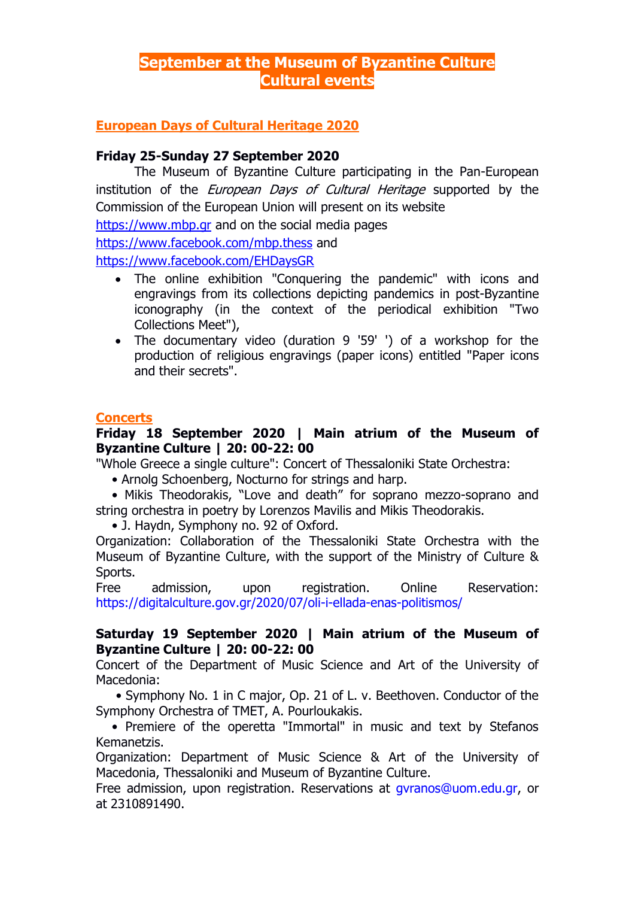# **September at the Museum of Byzantine Culture Cultural events**

# **European Days of Cultural Heritage 2020**

#### **Friday 25-Sunday 27 September 2020**

The Museum of Byzantine Culture participating in the Pan-European institution of the *European Days of Cultural Heritage* supported by the Commission of the European Union will present on its website

[https://www.mbp.gr](https://www.mbp.gr/) and on the social media pages

<https://www.facebook.com/mbp.thess> and

<https://www.facebook.com/EHDaysGR>

- The online exhibition "Conquering the pandemic" with icons and engravings from its collections depicting pandemics in post-Byzantine iconography (in the context of the periodical exhibition "Two Collections Meet"),
- The documentary video (duration 9 '59' ') of a workshop for the production of religious engravings (paper icons) entitled "Paper icons and their secrets".

#### **Concerts**

# **Friday 18 September 2020 | Main atrium of the Museum of Byzantine Culture | 20: 00-22: 00**

"Whole Greece a single culture": Concert of Thessaloniki State Orchestra:

• Arnolg Schoenberg, Nocturno for strings and harp.

 • Mikis Theodorakis, "Love and death" for soprano mezzo-soprano and string orchestra in poetry by Lorenzos Mavilis and Mikis Theodorakis.

• J. Haydn, Symphony no. 92 of Oxford.

Organization: Collaboration of the Thessaloniki State Orchestra with the Museum of Byzantine Culture, with the support of the Ministry of Culture & Sports.

Free admission, upon registration. Online Reservation: <https://digitalculture.gov.gr/2020/07/oli-i-ellada-enas-politismos/>

## **Saturday 19 September 2020 | Main atrium of the Museum of Byzantine Culture | 20: 00-22: 00**

Concert of the Department of Music Science and Art of the University of Macedonia:

 • Symphony No. 1 in C major, Op. 21 of L. v. Beethoven. Conductor of the Symphony Orchestra of TMET, A. Pourloukakis.

 • Premiere of the operetta "Immortal" in music and text by Stefanos Kemanetzis.

Organization: Department of Music Science & Art of the University of Macedonia, Thessaloniki and Museum of Byzantine Culture.

Free admission, upon registration. Reservations at [gvranos@uom.edu.gr,](mailto:gvranos@uom.edu.gr) or at 2310891490.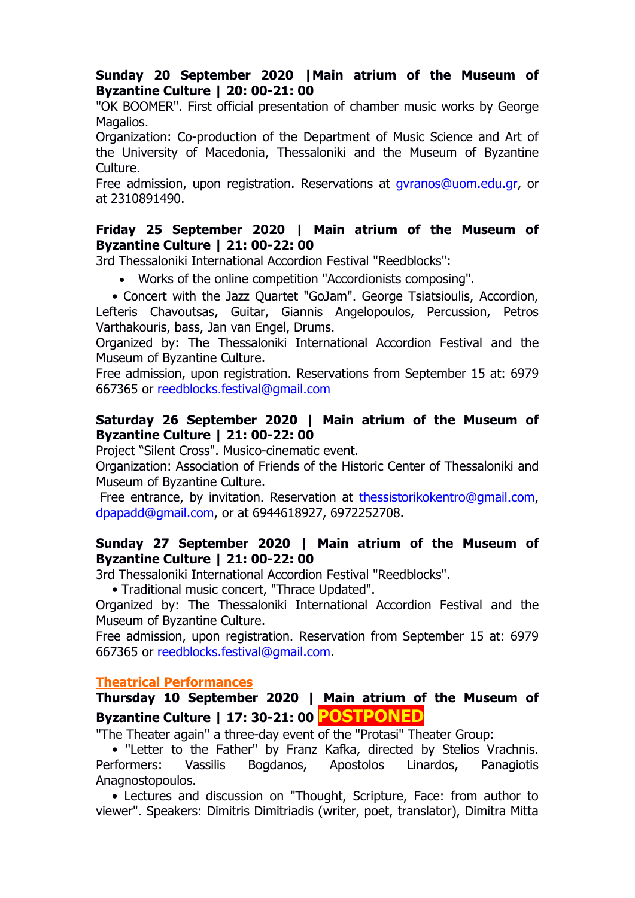## **Sunday 20 September 2020 |Main atrium of the Museum of Byzantine Culture | 20: 00-21: 00**

"OK BOOMER". First official presentation of chamber music works by George Magalios.

Organization: Co-production of the Department of Music Science and Art of the University of Macedonia, Thessaloniki and the Museum of Byzantine Culture.

Free admission, upon registration. Reservations at [gvranos@uom.edu.gr,](mailto:gvranos@uom.edu.gr) or at 2310891490.

## **Friday 25 September 2020 | Main atrium of the Museum of Byzantine Culture | 21: 00-22: 00**

3rd Thessaloniki International Accordion Festival "Reedblocks":

- Works of the online competition "Accordionists composing".
- Concert with the Jazz Quartet "GoJam". George Tsiatsioulis, Accordion, Lefteris Chavoutsas, Guitar, Giannis Angelopoulos, Percussion, Petros

Varthakouris, bass, Jan van Engel, Drums.

Organized by: The Thessaloniki International Accordion Festival and the Museum of Byzantine Culture.

Free admission, upon registration. Reservations from September 15 at: 6979 667365 or [reedblocks.festival@gmail.com](mailto:reedblocks.festival@gmail.com)

# **Saturday 26 September 2020 | Main atrium of the Museum of Byzantine Culture | 21: 00-22: 00**

Project "Silent Cross". Musico-cinematic event.

Organization: Association of Friends of the Historic Center of Thessaloniki and Museum of Byzantine Culture.

Free entrance, by invitation. Reservation at [thessistorikokentro@gmail.com,](mailto:thessistorikokentro@gmail.com) [dpapadd@gmail.com,](mailto:dpapadd@gmail.com) or at 6944618927, 6972252708.

# **Sunday 27 September 2020 | Main atrium of the Museum of Byzantine Culture | 21: 00-22: 00**

3rd Thessaloniki International Accordion Festival "Reedblocks".

• Traditional music concert, "Thrace Updated".

Organized by: The Thessaloniki International Accordion Festival and the Museum of Byzantine Culture.

Free admission, upon registration. Reservation from September 15 at: 6979 667365 or [reedblocks.festival@gmail.com.](mailto:reedblocks.festival@gmail.com)

# **Theatrical Performances**

**Thursday 10 September 2020 | Main atrium of the Museum of Byzantine Culture | 17: 30-21: 00 POSTPONED**

"The Theater again" a three-day event of the "Protasi" Theater Group:

 • "Letter to the Father" by Franz Kafka, directed by Stelios Vrachnis. Performers: Vassilis Bogdanos, Apostolos Linardos, Panagiotis Anagnostopoulos.

 • Lectures and discussion on "Thought, Scripture, Face: from author to viewer". Speakers: Dimitris Dimitriadis (writer, poet, translator), Dimitra Mitta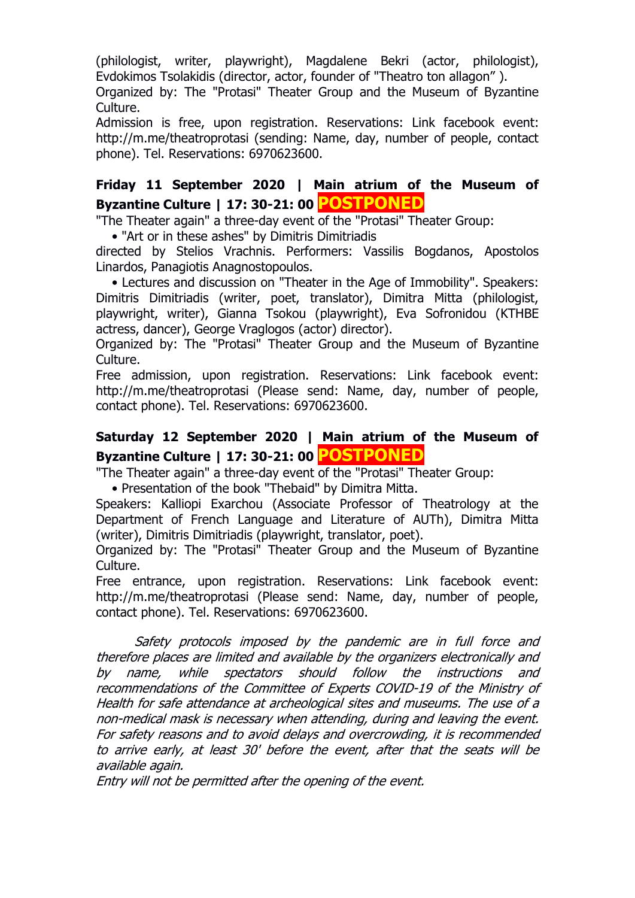(philologist, writer, playwright), Magdalene Bekri (actor, philologist), Evdokimos Tsolakidis (director, actor, founder of "Theatro ton allagon" ).

Organized by: The "Protasi" Theater Group and the Museum of Byzantine Culture.

Admission is free, upon registration. Reservations: Link facebook event: http://m.me/theatroprotasi (sending: Name, day, number of people, contact phone). Tel. Reservations: 6970623600.

# **Friday 11 September 2020 | Main atrium of the Museum of Byzantine Culture | 17: 30-21: 00 POSTPONED**

"The Theater again" a three-day event of the "Protasi" Theater Group:

• "Art or in these ashes" by Dimitris Dimitriadis

directed by Stelios Vrachnis. Performers: Vassilis Bogdanos, Apostolos Linardos, Panagiotis Anagnostopoulos.

 • Lectures and discussion on "Theater in the Age of Immobility". Speakers: Dimitris Dimitriadis (writer, poet, translator), Dimitra Mitta (philologist, playwright, writer), Gianna Tsokou (playwright), Eva Sofronidou (KTHBE actress, dancer), George Vraglogos (actor) director).

Organized by: The "Protasi" Theater Group and the Museum of Byzantine Culture.

Free admission, upon registration. Reservations: Link facebook event: http://m.me/theatroprotasi (Please send: Name, day, number of people, contact phone). Tel. Reservations: 6970623600.

# **Saturday 12 September 2020 | Main atrium of the Museum of Byzantine Culture | 17: 30-21: 00 POSTPONED**

"The Theater again" a three-day event of the "Protasi" Theater Group:

• Presentation of the book "Thebaid" by Dimitra Mitta.

Speakers: Kalliopi Exarchou (Associate Professor of Theatrology at the Department of French Language and Literature of AUTh), Dimitra Mitta (writer), Dimitris Dimitriadis (playwright, translator, poet).

Organized by: The "Protasi" Theater Group and the Museum of Byzantine Culture.

Free entrance, upon registration. Reservations: Link facebook event: http://m.me/theatroprotasi (Please send: Name, day, number of people, contact phone). Tel. Reservations: 6970623600.

Safety protocols imposed by the pandemic are in full force and therefore places are limited and available by the organizers electronically and by name, while spectators should follow the instructions and recommendations of the Committee of Experts COVID-19 of the Ministry of Health for safe attendance at archeological sites and museums. The use of a non-medical mask is necessary when attending, during and leaving the event. For safety reasons and to avoid delays and overcrowding, it is recommended to arrive early, at least 30' before the event, after that the seats will be available again.

Entry will not be permitted after the opening of the event.